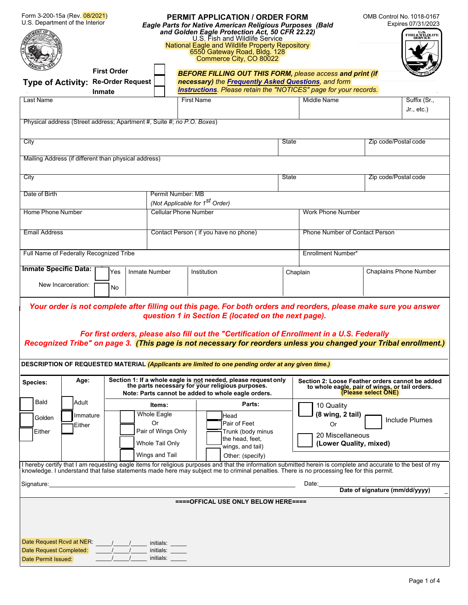| Form 3-200-15a (Rev. 08/2021)<br>U.S. Department of the Interior            |                          |                                                                                                                                                                          | <b>PERMIT APPLICATION / ORDER FORM</b><br><b>Eagle Parts for Native American Religious Purposes (Bald</b><br>and Golden Eagle Protection Act, 50 CFR 22.22)<br>U.S. Fish and Wildlife Service<br>National Eagle and Wildlife Property Repository<br>6550 Gateway Road, Bldg. 128<br>Commerce City, CO 80022                                                                                                                                                                                        |  |                                                                                                                          | <b>OMB Control No. 1018-0167</b><br>Expires 07/31/2023<br>U.S.<br>FISH & WILDLIFE<br>SERVICE |  |
|-----------------------------------------------------------------------------|--------------------------|--------------------------------------------------------------------------------------------------------------------------------------------------------------------------|----------------------------------------------------------------------------------------------------------------------------------------------------------------------------------------------------------------------------------------------------------------------------------------------------------------------------------------------------------------------------------------------------------------------------------------------------------------------------------------------------|--|--------------------------------------------------------------------------------------------------------------------------|----------------------------------------------------------------------------------------------|--|
|                                                                             | <b>First Order</b>       |                                                                                                                                                                          | <b>BEFORE FILLING OUT THIS FORM, please access and print (if</b>                                                                                                                                                                                                                                                                                                                                                                                                                                   |  |                                                                                                                          |                                                                                              |  |
| Type of Activity: Re-Order Request                                          |                          |                                                                                                                                                                          | necessary) the Frequently Asked Questions, and form                                                                                                                                                                                                                                                                                                                                                                                                                                                |  |                                                                                                                          |                                                                                              |  |
|                                                                             | Inmate                   |                                                                                                                                                                          | Instructions. Please retain the "NOTICES" page for your records.                                                                                                                                                                                                                                                                                                                                                                                                                                   |  |                                                                                                                          |                                                                                              |  |
| <b>Last Name</b>                                                            |                          |                                                                                                                                                                          | <b>First Name</b>                                                                                                                                                                                                                                                                                                                                                                                                                                                                                  |  | <b>Middle Name</b>                                                                                                       | Suffix (Sr.,<br>$Jr., etc.$ )                                                                |  |
| Physical address (Street address; Apartment #, Suite #; no P.O. Boxes)      |                          |                                                                                                                                                                          |                                                                                                                                                                                                                                                                                                                                                                                                                                                                                                    |  |                                                                                                                          |                                                                                              |  |
| City                                                                        |                          |                                                                                                                                                                          | <b>State</b>                                                                                                                                                                                                                                                                                                                                                                                                                                                                                       |  |                                                                                                                          | Zip code/Postal code                                                                         |  |
| Mailing Address (if different than physical address)                        |                          |                                                                                                                                                                          |                                                                                                                                                                                                                                                                                                                                                                                                                                                                                                    |  |                                                                                                                          |                                                                                              |  |
| City                                                                        |                          |                                                                                                                                                                          | State                                                                                                                                                                                                                                                                                                                                                                                                                                                                                              |  | Zip code/Postal code                                                                                                     |                                                                                              |  |
| Date of Birth                                                               |                          | Permit Number: MB                                                                                                                                                        |                                                                                                                                                                                                                                                                                                                                                                                                                                                                                                    |  |                                                                                                                          |                                                                                              |  |
| <b>Home Phone Number</b>                                                    |                          |                                                                                                                                                                          | (Not Applicable for 1 <sup>st</sup> Order)                                                                                                                                                                                                                                                                                                                                                                                                                                                         |  | <b>Work Phone Number</b>                                                                                                 |                                                                                              |  |
|                                                                             |                          |                                                                                                                                                                          | <b>Cellular Phone Number</b>                                                                                                                                                                                                                                                                                                                                                                                                                                                                       |  |                                                                                                                          |                                                                                              |  |
| <b>Email Address</b>                                                        |                          | Contact Person (if you have no phone)                                                                                                                                    |                                                                                                                                                                                                                                                                                                                                                                                                                                                                                                    |  | <b>Phone Number of Contact Person</b>                                                                                    |                                                                                              |  |
| Full Name of Federally Recognized Tribe                                     |                          |                                                                                                                                                                          |                                                                                                                                                                                                                                                                                                                                                                                                                                                                                                    |  | Enrollment Number*                                                                                                       |                                                                                              |  |
| <b>Inmate Specific Data:</b>                                                | Yes                      | Inmate Number                                                                                                                                                            | Institution                                                                                                                                                                                                                                                                                                                                                                                                                                                                                        |  | Chaplain                                                                                                                 | <b>Chaplains Phone Number</b>                                                                |  |
| New Incarceration:<br>No                                                    |                          |                                                                                                                                                                          |                                                                                                                                                                                                                                                                                                                                                                                                                                                                                                    |  |                                                                                                                          |                                                                                              |  |
|                                                                             |                          |                                                                                                                                                                          | Your order is not complete after filling out this page. For both orders and reorders, please make sure you answer<br>question 1 in Section E (located on the next page).<br>For first orders, please also fill out the "Certification of Enrollment in a U.S. Federally<br>Recognized Tribe" on page 3. (This page is not necessary for reorders unless you changed your Tribal enrollment.)<br>DESCRIPTION OF REQUESTED MATERIAL (Applicants are limited to one pending order at any given time.) |  |                                                                                                                          |                                                                                              |  |
|                                                                             |                          |                                                                                                                                                                          |                                                                                                                                                                                                                                                                                                                                                                                                                                                                                                    |  |                                                                                                                          |                                                                                              |  |
| Age:<br>Species:                                                            |                          | Section 1: If a whole eagle is not needed, please request only<br>the parts necessary for your religious purposes.<br>Note: Parts cannot be added to whole eagle orders. |                                                                                                                                                                                                                                                                                                                                                                                                                                                                                                    |  | Section 2: Loose Feather orders cannot be added<br>to whole eagle, pair of wings, or tail orders.<br>(Please select ONE) |                                                                                              |  |
| Bald<br>Adult                                                               |                          | <b>Items:</b>                                                                                                                                                            | Parts:                                                                                                                                                                                                                                                                                                                                                                                                                                                                                             |  | 10 Quality                                                                                                               |                                                                                              |  |
| Immature<br>Golden                                                          |                          | Whole Eagle<br>0r                                                                                                                                                        | Head<br>Pair of Feet                                                                                                                                                                                                                                                                                                                                                                                                                                                                               |  | (8 wing, 2 tail)                                                                                                         | <b>Include Plumes</b>                                                                        |  |
| Either<br>Either                                                            |                          | Pair of Wings Only                                                                                                                                                       | Trunk (body minus                                                                                                                                                                                                                                                                                                                                                                                                                                                                                  |  | Or<br>20 Miscellaneous                                                                                                   |                                                                                              |  |
|                                                                             |                          | Whole Tail Only                                                                                                                                                          | the head, feet,                                                                                                                                                                                                                                                                                                                                                                                                                                                                                    |  | (Lower Quality, mixed)                                                                                                   |                                                                                              |  |
|                                                                             |                          | Wings and Tail                                                                                                                                                           | wings, and tail)<br>Other: (specify)                                                                                                                                                                                                                                                                                                                                                                                                                                                               |  |                                                                                                                          |                                                                                              |  |
|                                                                             |                          |                                                                                                                                                                          | I hereby certify that I am requesting eagle items for religious purposes and that the information submitted herein is complete and accurate to the best of my<br>knowledge. I understand that false statements made here may subject me to criminal penalties. There is no processing fee for this permit.                                                                                                                                                                                         |  |                                                                                                                          |                                                                                              |  |
|                                                                             |                          |                                                                                                                                                                          |                                                                                                                                                                                                                                                                                                                                                                                                                                                                                                    |  |                                                                                                                          | Date: Date of signature (mm/dd/yyyy)                                                         |  |
|                                                                             |                          |                                                                                                                                                                          | ==== OFFICAL USE ONLY BELOW HERE====                                                                                                                                                                                                                                                                                                                                                                                                                                                               |  |                                                                                                                          |                                                                                              |  |
| Date Request Rcvd at NER:<br>Date Request Completed:<br>Date Permit Issued: | $\sqrt{2}$<br>$\sqrt{1}$ | initials:<br>initials:<br>initials:                                                                                                                                      |                                                                                                                                                                                                                                                                                                                                                                                                                                                                                                    |  |                                                                                                                          |                                                                                              |  |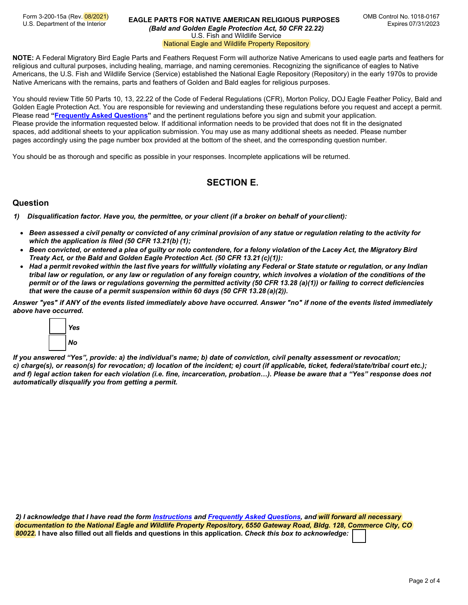Form 3-200-15a (Rev. 08/2021)<br>U.S. Department of the Interior

#### **EAGLE PARTS FOR NATIVE AMERICAN RELIGIOUS PURPOSES** *(Bald and Golden Eagle Protection Act, 50 CFR 22.22)* U.S. Fish and Wildlife Service National Eagle and Wildlife Property Repository

**NOTE:** A Federal Migratory Bird Eagle Parts and Feathers Request Form will authorize Native Americans to used eagle parts and feathers for religious and cultural purposes, including healing, marriage, and naming ceremonies. Recognizing the significance of eagles to Native Americans, the U.S. Fish and Wildlife Service (Service) established the National Eagle Repository (Repository) in the early 1970s to provide Native Americans with the remains, parts and feathers of Golden and Bald eagles for religious purposes.

You should review Title 50 Parts 10, 13, 22.22 of the Code of Federal Regulations (CFR), Morton Policy, DOJ Eagle Feather Policy, Bald and Golden Eagle Protection Act. You are responsible for reviewing and understanding these regulations before you request and accept a permit. Please read **"Frequently [Asked Questions"](https://www.fws.gov/migratorybirds/pdf/policies-and-regulations/3-200-15aFAQ.pdf)** and the pertinent regulations before you sign and submit your application. Please provide the information requested below. If additional information needs to be provided that does not fit in the designated spaces, add additional sheets to your application submission. You may use as many additional sheets as needed. Please number pages accordingly using the page number box provided at the bottom of the sheet, and the corresponding question number.

You should be as thorough and specific as possible in your responses. Incomplete applications will be returned.

# **SECTION E.**

## **Question**

- *1) Disqualification factor. Have you, the permittee, or your client (if a broker on behalf of yourclient):*
	- Been assessed a civil penalty or convicted of any criminal provision of any statue or regulation relating to the activity for *which the application is filed (50 CFR 13.21(b) (1);*
	- *Been convicted, or entered a plea of guilty or nolo contendere, for a felony violation of the Lacey Act, the Migratory Bird Treaty Act, or the Bald and Golden Eagle Protection Act. (50 CFR 13.21 (c)(1)):*
	- *Had a permit revoked within the last five years for willfully violating any Federal or State statute or regulation, or any Indian tribal law or regulation, or any law or regulation of any foreign country, which involves a violation of the conditions of the permit or of the laws or regulations governing the permitted activity (50 CFR 13.28 (a)(1)) or failing to correct deficiencies that were the cause of a permit suspension within 60 days (50 CFR 13.28 (a)(2)).*

*Answer "yes" if ANY of the events listed immediately above have occurred. Answer "no" if none of the events listed immediately above have occurred.*



*If you answered "Yes", provide: a) the individual's name; b) date of conviction, civil penalty assessment or revocation; c) charge(s), or reason(s) for revocation; d) location of the incident; e) court (if applicable, ticket, federal/state/tribal court etc.); and f) legal action taken for each violation (i.e. fine, incarceration, probation…). Please be aware that a "Yes" response does not automatically disqualify you from getting a permit.*

*2) I acknowledge that I have read the form [Instructions](https://www.fws.gov/migratorybirds/pdf/policies-and-regulations/3-200-15aInstructions.pdf) and [Frequently Asked](https://www.fws.gov/migratorybirds/pdf/policies-and-regulations/3-200-15aFAQ.pdf) Questions, and will forward all necessary [documentation to the Nat](https://www.fws.gov/birds/policies-and-regulations/permits/regional-permit-contacts.php)ional Eagle and Wildlife Property Repository, 6550 Gateway Road, Bldg. 128, Commerce City, CO 80022.* **I have also filled out all fields and questions in this application.** *Check this box to acknowledge:*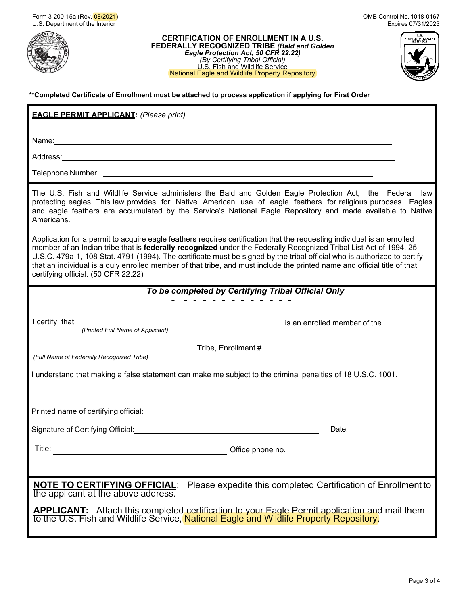

**CERTIFICATION OF ENROLLMENT IN A U.S. FEDERALLY RECOGNIZED TRIBE** *(Bald and Golden Eagle Protection Act, 50 CFR 22.22) (By Certifying Tribal Official)* U.S. Fish and Wildlife Service National Eagle and Wildlife Property Repository



### **\*\*Completed Certificate of Enrollment must be attached to process application if applying for First Order**

| <b>EAGLE PERMIT APPLICANT: (Please print)</b>                                                                                                                                                                                                                                                                                                                                                                                                                                                                                               |
|---------------------------------------------------------------------------------------------------------------------------------------------------------------------------------------------------------------------------------------------------------------------------------------------------------------------------------------------------------------------------------------------------------------------------------------------------------------------------------------------------------------------------------------------|
| Name: 2008. 2009. 2009. 2009. 2012. 2013. 2014. 2014. 2014. 2014. 2014. 2014. 2014. 2014. 2014. 2014. 2014. 20                                                                                                                                                                                                                                                                                                                                                                                                                              |
|                                                                                                                                                                                                                                                                                                                                                                                                                                                                                                                                             |
|                                                                                                                                                                                                                                                                                                                                                                                                                                                                                                                                             |
| The U.S. Fish and Wildlife Service administers the Bald and Golden Eagle Protection Act, the Federal law<br>protecting eagles. This law provides for Native American use of eagle feathers for religious purposes. Eagles<br>and eagle feathers are accumulated by the Service's National Eagle Repository and made available to Native<br>Americans.                                                                                                                                                                                       |
| Application for a permit to acquire eagle feathers requires certification that the requesting individual is an enrolled<br>member of an Indian tribe that is federally recognized under the Federally Recognized Tribal List Act of 1994, 25<br>U.S.C. 479a-1, 108 Stat. 4791 (1994). The certificate must be signed by the tribal official who is authorized to certify<br>that an individual is a duly enrolled member of that tribe, and must include the printed name and official title of that<br>certifying official. (50 CFR 22.22) |
| To be completed by Certifying Tribal Official Only                                                                                                                                                                                                                                                                                                                                                                                                                                                                                          |
| I certify that<br>is an enrolled member of the<br>(Printed Full Name of Applicant)                                                                                                                                                                                                                                                                                                                                                                                                                                                          |
| (Full Name of Federally Recognized Tribe)                                                                                                                                                                                                                                                                                                                                                                                                                                                                                                   |
| I understand that making a false statement can make me subject to the criminal penalties of 18 U.S.C. 1001.                                                                                                                                                                                                                                                                                                                                                                                                                                 |
|                                                                                                                                                                                                                                                                                                                                                                                                                                                                                                                                             |
| Signature of Certifying Official: Manual According to the Control of Certifying Official:<br>Date:                                                                                                                                                                                                                                                                                                                                                                                                                                          |
| Title:<br>Office phone no.                                                                                                                                                                                                                                                                                                                                                                                                                                                                                                                  |
|                                                                                                                                                                                                                                                                                                                                                                                                                                                                                                                                             |
| Please expedite this completed Certification of Enrollment to<br><u>NOTE TO CERTIFYING OFFICIAL:</u><br>the applicant at the above address.                                                                                                                                                                                                                                                                                                                                                                                                 |
| <b>APPLICANT:</b> Attach this completed certification to your Eagle Permit application and mail them<br>to the U.S. Fish and Wildlife Service, National Eagle and Wildlife Property Repository.                                                                                                                                                                                                                                                                                                                                             |